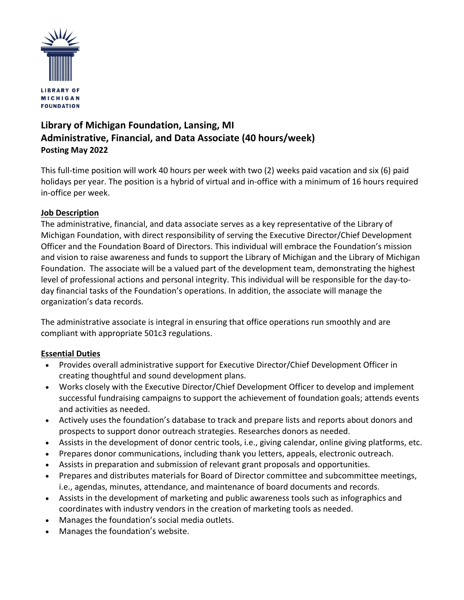

# **Library of Michigan Foundation, Lansing, MI Administrative, Financial, and Data Associate (40 hours/week) Posting May 2022**

This full-time position will work 40 hours per week with two (2) weeks paid vacation and six (6) paid holidays per year. The position is a hybrid of virtual and in-office with a minimum of 16 hours required in-office per week.

### **Job Description**

The administrative, financial, and data associate serves as a key representative of the Library of Michigan Foundation, with direct responsibility of serving the Executive Director/Chief Development Officer and the Foundation Board of Directors. This individual will embrace the Foundation's mission and vision to raise awareness and funds to support the Library of Michigan and the Library of Michigan Foundation. The associate will be a valued part of the development team, demonstrating the highest level of professional actions and personal integrity. This individual will be responsible for the day-today financial tasks of the Foundation's operations. In addition, the associate will manage the organization's data records.

The administrative associate is integral in ensuring that office operations run smoothly and are compliant with appropriate 501c3 regulations.

## **Essential Duties**

- Provides overall administrative support for Executive Director/Chief Development Officer in creating thoughtful and sound development plans.
- Works closely with the Executive Director/Chief Development Officer to develop and implement successful fundraising campaigns to support the achievement of foundation goals; attends events and activities as needed.
- Actively uses the foundation's database to track and prepare lists and reports about donors and prospects to support donor outreach strategies. Researches donors as needed.
- Assists in the development of donor centric tools, i.e., giving calendar, online giving platforms, etc.
- Prepares donor communications, including thank you letters, appeals, electronic outreach.
- Assists in preparation and submission of relevant grant proposals and opportunities.
- Prepares and distributes materials for Board of Director committee and subcommittee meetings, i.e., agendas, minutes, attendance, and maintenance of board documents and records.
- Assists in the development of marketing and public awareness tools such as infographics and coordinates with industry vendors in the creation of marketing tools as needed.
- Manages the foundation's social media outlets.
- Manages the foundation's website.